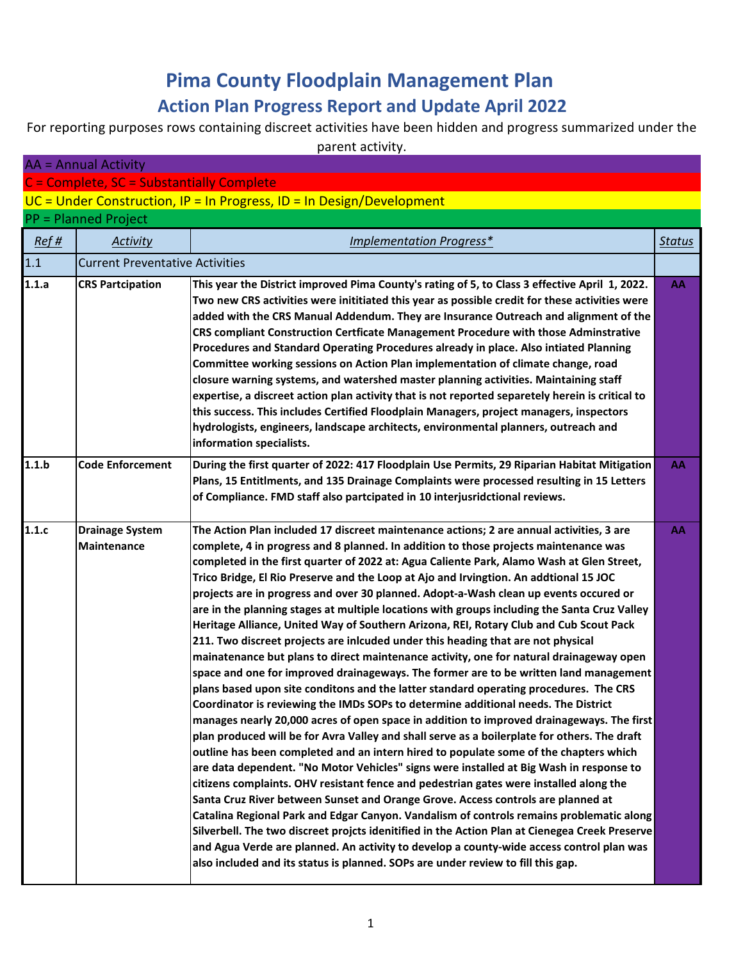## **Pima County Floodplain Management Plan Action Plan Progress Report and Update April 2022**

For reporting purposes rows containing discreet activities have been hidden and progress summarized under the parent activity.

| <b>AA</b> = Annual Activity |                                           |                                                                                                                                                                                                                                                                                                                                                                                                                                                                                                                                                                                                                                                                                                                                                                                                                                                                                                                                                                                                                                                                                                                                                                                                                                                                                                                                                                                                                                                                                                                                                                                                                                                                                                                                                                                                                                                                                                                                                                                                                                                               |               |
|-----------------------------|-------------------------------------------|---------------------------------------------------------------------------------------------------------------------------------------------------------------------------------------------------------------------------------------------------------------------------------------------------------------------------------------------------------------------------------------------------------------------------------------------------------------------------------------------------------------------------------------------------------------------------------------------------------------------------------------------------------------------------------------------------------------------------------------------------------------------------------------------------------------------------------------------------------------------------------------------------------------------------------------------------------------------------------------------------------------------------------------------------------------------------------------------------------------------------------------------------------------------------------------------------------------------------------------------------------------------------------------------------------------------------------------------------------------------------------------------------------------------------------------------------------------------------------------------------------------------------------------------------------------------------------------------------------------------------------------------------------------------------------------------------------------------------------------------------------------------------------------------------------------------------------------------------------------------------------------------------------------------------------------------------------------------------------------------------------------------------------------------------------------|---------------|
|                             | C = Complete, SC = Substantially Complete |                                                                                                                                                                                                                                                                                                                                                                                                                                                                                                                                                                                                                                                                                                                                                                                                                                                                                                                                                                                                                                                                                                                                                                                                                                                                                                                                                                                                                                                                                                                                                                                                                                                                                                                                                                                                                                                                                                                                                                                                                                                               |               |
|                             |                                           | $UC = Under Construction, IP = In Progress, ID = In Design/Development$                                                                                                                                                                                                                                                                                                                                                                                                                                                                                                                                                                                                                                                                                                                                                                                                                                                                                                                                                                                                                                                                                                                                                                                                                                                                                                                                                                                                                                                                                                                                                                                                                                                                                                                                                                                                                                                                                                                                                                                       |               |
|                             | <b>PP = Planned Project</b>               |                                                                                                                                                                                                                                                                                                                                                                                                                                                                                                                                                                                                                                                                                                                                                                                                                                                                                                                                                                                                                                                                                                                                                                                                                                                                                                                                                                                                                                                                                                                                                                                                                                                                                                                                                                                                                                                                                                                                                                                                                                                               |               |
| Ref#                        | Activity                                  | Implementation Progress*                                                                                                                                                                                                                                                                                                                                                                                                                                                                                                                                                                                                                                                                                                                                                                                                                                                                                                                                                                                                                                                                                                                                                                                                                                                                                                                                                                                                                                                                                                                                                                                                                                                                                                                                                                                                                                                                                                                                                                                                                                      | <b>Status</b> |
| 1.1                         | <b>Current Preventative Activities</b>    |                                                                                                                                                                                                                                                                                                                                                                                                                                                                                                                                                                                                                                                                                                                                                                                                                                                                                                                                                                                                                                                                                                                                                                                                                                                                                                                                                                                                                                                                                                                                                                                                                                                                                                                                                                                                                                                                                                                                                                                                                                                               |               |
| 1.1.a                       | <b>CRS Partcipation</b>                   | This year the District improved Pima County's rating of 5, to Class 3 effective April 1, 2022.<br>Two new CRS activities were inititiated this year as possible credit for these activities were<br>added with the CRS Manual Addendum. They are Insurance Outreach and alignment of the<br>CRS compliant Construction Certficate Management Procedure with those Adminstrative<br>Procedures and Standard Operating Procedures already in place. Also intiated Planning<br>Committee working sessions on Action Plan implementation of climate change, road<br>closure warning systems, and watershed master planning activities. Maintaining staff<br>expertise, a discreet action plan activity that is not reported separetely herein is critical to<br>this success. This includes Certified Floodplain Managers, project managers, inspectors<br>hydrologists, engineers, landscape architects, environmental planners, outreach and<br>information specialists.                                                                                                                                                                                                                                                                                                                                                                                                                                                                                                                                                                                                                                                                                                                                                                                                                                                                                                                                                                                                                                                                                        | AA            |
| 1.1.b                       | <b>Code Enforcement</b>                   | During the first quarter of 2022: 417 Floodplain Use Permits, 29 Riparian Habitat Mitigation<br>Plans, 15 Entitlments, and 135 Drainage Complaints were processed resulting in 15 Letters<br>of Compliance. FMD staff also partcipated in 10 interjusridctional reviews.                                                                                                                                                                                                                                                                                                                                                                                                                                                                                                                                                                                                                                                                                                                                                                                                                                                                                                                                                                                                                                                                                                                                                                                                                                                                                                                                                                                                                                                                                                                                                                                                                                                                                                                                                                                      | AA            |
| 1.1.c                       | <b>Drainage System</b><br>Maintenance     | The Action Plan included 17 discreet maintenance actions; 2 are annual activities, 3 are<br>complete, 4 in progress and 8 planned. In addition to those projects maintenance was<br>completed in the first quarter of 2022 at: Agua Caliente Park, Alamo Wash at Glen Street,<br>Trico Bridge, El Rio Preserve and the Loop at Ajo and Irvingtion. An addtional 15 JOC<br>projects are in progress and over 30 planned. Adopt-a-Wash clean up events occured or<br>are in the planning stages at multiple locations with groups including the Santa Cruz Valley<br>Heritage Alliance, United Way of Southern Arizona, REI, Rotary Club and Cub Scout Pack<br>211. Two discreet projects are inlcuded under this heading that are not physical<br>mainatenance but plans to direct maintenance activity, one for natural drainageway open<br>space and one for improved drainageways. The former are to be written land management<br>plans based upon site conditons and the latter standard operating procedures. The CRS<br>Coordinator is reviewing the IMDs SOPs to determine additional needs. The District<br>manages nearly 20,000 acres of open space in addition to improved drainageways. The first<br>plan produced will be for Avra Valley and shall serve as a boilerplate for others. The draft<br>outline has been completed and an intern hired to populate some of the chapters which<br>are data dependent. "No Motor Vehicles" signs were installed at Big Wash in response to<br>citizens complaints. OHV resistant fence and pedestrian gates were installed along the<br>Santa Cruz River between Sunset and Orange Grove. Access controls are planned at<br>Catalina Regional Park and Edgar Canyon. Vandalism of controls remains problematic along<br>Silverbell. The two discreet projcts idenitified in the Action Plan at Cienegea Creek Preserve<br>and Agua Verde are planned. An activity to develop a county-wide access control plan was<br>also included and its status is planned. SOPs are under review to fill this gap. | АΑ            |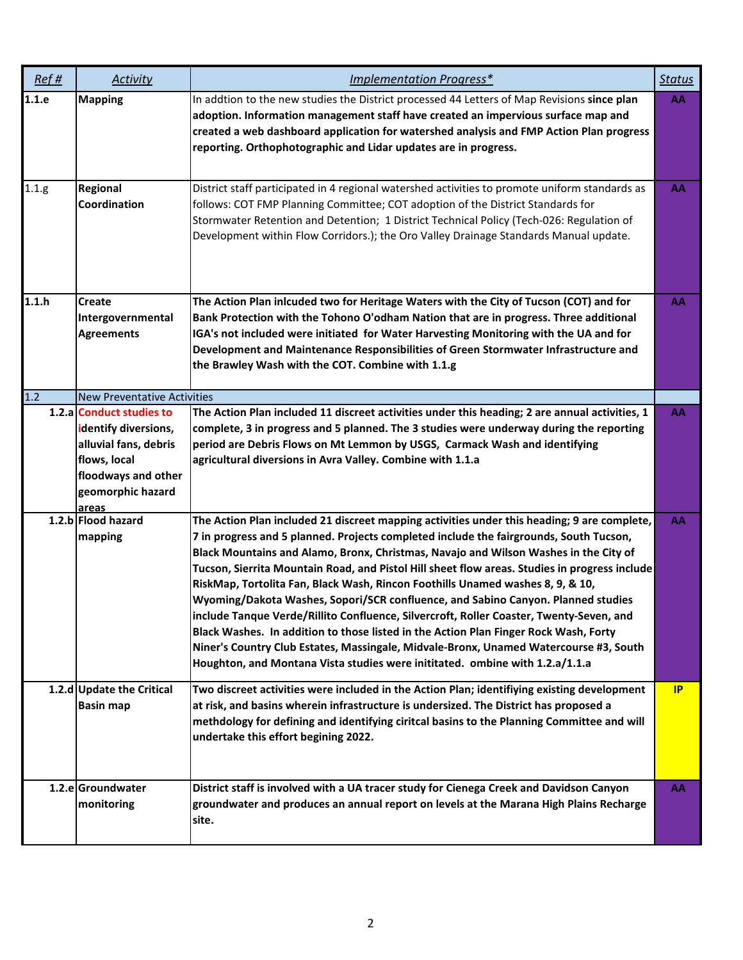| Ref#  | Activity                                                                                                           | Implementation Progress*                                                                                                                                                                                                                                                                                                                                                                                                                                                                                                                                                                                                                                                                                                                                                                                                                                                                                         | <b>Status</b> |
|-------|--------------------------------------------------------------------------------------------------------------------|------------------------------------------------------------------------------------------------------------------------------------------------------------------------------------------------------------------------------------------------------------------------------------------------------------------------------------------------------------------------------------------------------------------------------------------------------------------------------------------------------------------------------------------------------------------------------------------------------------------------------------------------------------------------------------------------------------------------------------------------------------------------------------------------------------------------------------------------------------------------------------------------------------------|---------------|
| 1.1.e | <b>Mapping</b>                                                                                                     | In addtion to the new studies the District processed 44 Letters of Map Revisions since plan<br>adoption. Information management staff have created an impervious surface map and<br>created a web dashboard application for watershed analysis and FMP Action Plan progress<br>reporting. Orthophotographic and Lidar updates are in progress.                                                                                                                                                                                                                                                                                                                                                                                                                                                                                                                                                                   | AA            |
| 1.1.g | Regional<br>Coordination                                                                                           | District staff participated in 4 regional watershed activities to promote uniform standards as<br>follows: COT FMP Planning Committee; COT adoption of the District Standards for<br>Stormwater Retention and Detention; 1 District Technical Policy (Tech-026: Regulation of<br>Development within Flow Corridors.); the Oro Valley Drainage Standards Manual update.                                                                                                                                                                                                                                                                                                                                                                                                                                                                                                                                           | AA            |
| 1.1.h | <b>Create</b><br>Intergovernmental<br><b>Agreements</b>                                                            | The Action Plan inlcuded two for Heritage Waters with the City of Tucson (COT) and for<br>Bank Protection with the Tohono O'odham Nation that are in progress. Three additional<br>IGA's not included were initiated for Water Harvesting Monitoring with the UA and for<br>Development and Maintenance Responsibilities of Green Stormwater Infrastructure and<br>the Brawley Wash with the COT. Combine with 1.1.g                                                                                                                                                                                                                                                                                                                                                                                                                                                                                             | AA            |
| 1.2   | <b>New Preventative Activities</b><br>1.2.a Conduct studies to                                                     | The Action Plan included 11 discreet activities under this heading; 2 are annual activities, 1                                                                                                                                                                                                                                                                                                                                                                                                                                                                                                                                                                                                                                                                                                                                                                                                                   | AA            |
|       | identify diversions,<br>alluvial fans, debris<br>flows, local<br>floodways and other<br>geomorphic hazard<br>areas | complete, 3 in progress and 5 planned. The 3 studies were underway during the reporting<br>period are Debris Flows on Mt Lemmon by USGS, Carmack Wash and identifying<br>agricultural diversions in Avra Valley. Combine with 1.1.a                                                                                                                                                                                                                                                                                                                                                                                                                                                                                                                                                                                                                                                                              |               |
|       | 1.2.b Flood hazard<br>mapping                                                                                      | The Action Plan included 21 discreet mapping activities under this heading; 9 are complete,<br>7 in progress and 5 planned. Projects completed include the fairgrounds, South Tucson,<br>Black Mountains and Alamo, Bronx, Christmas, Navajo and Wilson Washes in the City of<br>Tucson, Sierrita Mountain Road, and Pistol Hill sheet flow areas. Studies in progress include<br>RiskMap, Tortolita Fan, Black Wash, Rincon Foothills Unamed washes 8, 9, & 10,<br>Wyoming/Dakota Washes, Sopori/SCR confluence, and Sabino Canyon. Planned studies<br>include Tanque Verde/Rillito Confluence, Silvercroft, Roller Coaster, Twenty-Seven, and<br>Black Washes. In addition to those listed in the Action Plan Finger Rock Wash, Forty<br>Niner's Country Club Estates, Massingale, Midvale-Bronx, Unamed Watercourse #3, South<br>Houghton, and Montana Vista studies were inititated. ombine with 1.2.a/1.1.a | AA            |
|       | 1.2.d Update the Critical<br><b>Basin map</b>                                                                      | Two discreet activities were included in the Action Plan; identifiying existing development<br>at risk, and basins wherein infrastructure is undersized. The District has proposed a<br>methdology for defining and identifying ciritcal basins to the Planning Committee and will<br>undertake this effort begining 2022.                                                                                                                                                                                                                                                                                                                                                                                                                                                                                                                                                                                       | IP            |
|       | 1.2.e Groundwater<br>monitoring                                                                                    | District staff is involved with a UA tracer study for Cienega Creek and Davidson Canyon<br>groundwater and produces an annual report on levels at the Marana High Plains Recharge<br>site.                                                                                                                                                                                                                                                                                                                                                                                                                                                                                                                                                                                                                                                                                                                       | AA            |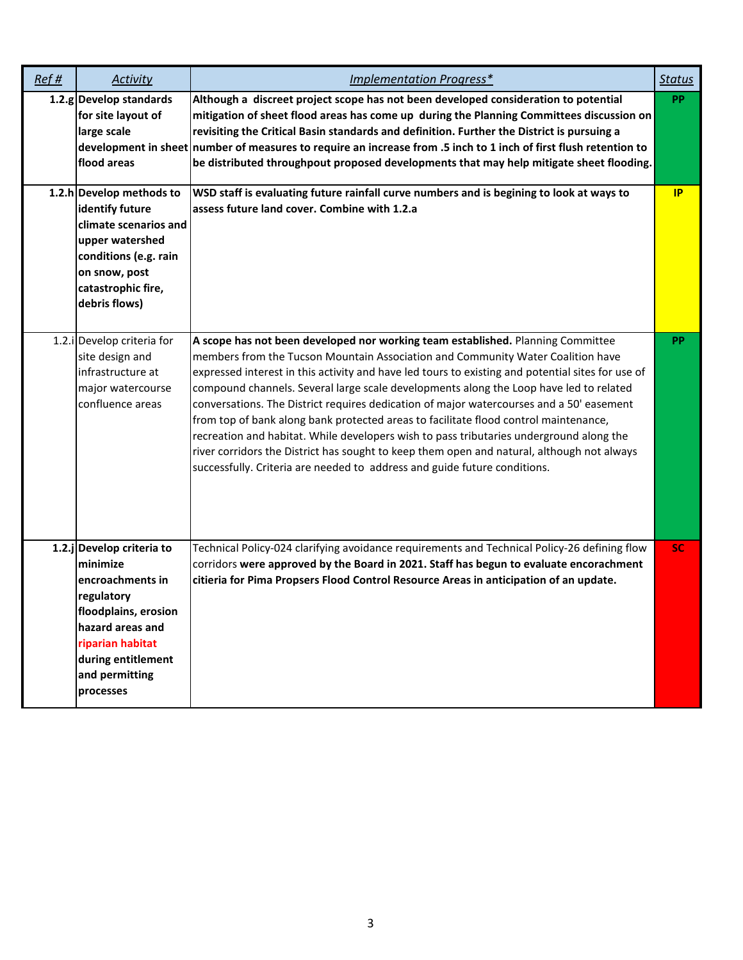| Ref# | <b>Activity</b>                                                                                                                                                                              | <b>Implementation Progress*</b>                                                                                                                                                                                                                                                                                                                                                                                                                                                                                                                                                                                                                                                                                                                                                                                             | <b>Status</b> |
|------|----------------------------------------------------------------------------------------------------------------------------------------------------------------------------------------------|-----------------------------------------------------------------------------------------------------------------------------------------------------------------------------------------------------------------------------------------------------------------------------------------------------------------------------------------------------------------------------------------------------------------------------------------------------------------------------------------------------------------------------------------------------------------------------------------------------------------------------------------------------------------------------------------------------------------------------------------------------------------------------------------------------------------------------|---------------|
|      | 1.2.g Develop standards<br>for site layout of<br>large scale<br>flood areas                                                                                                                  | Although a discreet project scope has not been developed consideration to potential<br>mitigation of sheet flood areas has come up during the Planning Committees discussion on<br>revisiting the Critical Basin standards and definition. Further the District is pursuing a<br>development in sheet number of measures to require an increase from .5 inch to 1 inch of first flush retention to<br>be distributed throughpout proposed developments that may help mitigate sheet flooding.                                                                                                                                                                                                                                                                                                                               | <b>PP</b>     |
|      | 1.2.h Develop methods to<br>identify future<br>climate scenarios and<br>upper watershed<br>conditions (e.g. rain<br>on snow, post<br>catastrophic fire,<br>debris flows)                     | WSD staff is evaluating future rainfall curve numbers and is begining to look at ways to<br>assess future land cover. Combine with 1.2.a                                                                                                                                                                                                                                                                                                                                                                                                                                                                                                                                                                                                                                                                                    | IP            |
|      | 1.2.i Develop criteria for<br>site design and<br>infrastructure at<br>major watercourse<br>confluence areas                                                                                  | A scope has not been developed nor working team established. Planning Committee<br>members from the Tucson Mountain Association and Community Water Coalition have<br>expressed interest in this activity and have led tours to existing and potential sites for use of<br>compound channels. Several large scale developments along the Loop have led to related<br>conversations. The District requires dedication of major watercourses and a 50' easement<br>from top of bank along bank protected areas to facilitate flood control maintenance,<br>recreation and habitat. While developers wish to pass tributaries underground along the<br>river corridors the District has sought to keep them open and natural, although not always<br>successfully. Criteria are needed to address and guide future conditions. | <b>PP</b>     |
|      | 1.2.j Develop criteria to<br>minimize<br>encroachments in<br>regulatory<br>floodplains, erosion<br>hazard areas and<br>riparian habitat<br>during entitlement<br>and permitting<br>processes | Technical Policy-024 clarifying avoidance requirements and Technical Policy-26 defining flow<br>corridors were approved by the Board in 2021. Staff has begun to evaluate encorachment<br>citieria for Pima Propsers Flood Control Resource Areas in anticipation of an update.                                                                                                                                                                                                                                                                                                                                                                                                                                                                                                                                             | <b>SC</b>     |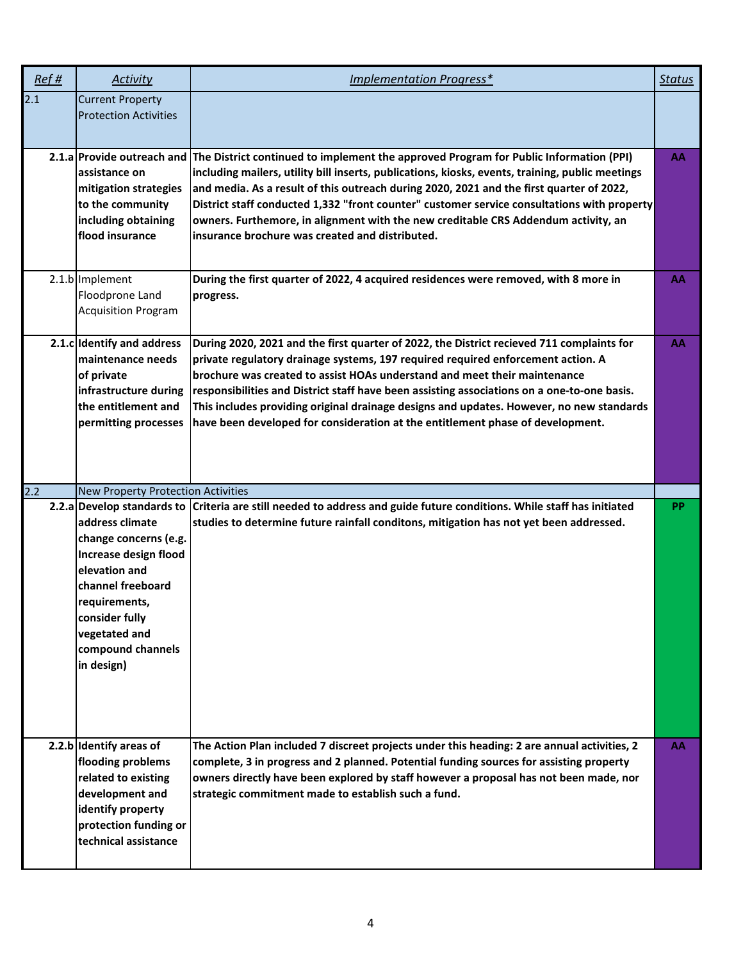| Ref# | Activity                                                                                                                                                                                       | Implementation Progress*                                                                                                                                                                                                                                                                                                                                                                                                                                                                                                                | <b>Status</b> |
|------|------------------------------------------------------------------------------------------------------------------------------------------------------------------------------------------------|-----------------------------------------------------------------------------------------------------------------------------------------------------------------------------------------------------------------------------------------------------------------------------------------------------------------------------------------------------------------------------------------------------------------------------------------------------------------------------------------------------------------------------------------|---------------|
| 2.1  | <b>Current Property</b><br><b>Protection Activities</b>                                                                                                                                        |                                                                                                                                                                                                                                                                                                                                                                                                                                                                                                                                         |               |
|      | 2.1.a Provide outreach and<br>assistance on<br>mitigation strategies<br>to the community<br>including obtaining<br>flood insurance                                                             | The District continued to implement the approved Program for Public Information (PPI)<br>including mailers, utility bill inserts, publications, kiosks, events, training, public meetings<br>and media. As a result of this outreach during 2020, 2021 and the first quarter of 2022,<br>District staff conducted 1,332 "front counter" customer service consultations with property<br>owners. Furthemore, in alignment with the new creditable CRS Addendum activity, an<br>insurance brochure was created and distributed.           | AA            |
|      | 2.1.b Implement<br>Floodprone Land<br><b>Acquisition Program</b>                                                                                                                               | During the first quarter of 2022, 4 acquired residences were removed, with 8 more in<br>progress.                                                                                                                                                                                                                                                                                                                                                                                                                                       | AA            |
|      | 2.1.c Identify and address<br>maintenance needs<br>of private<br>infrastructure during<br>the entitlement and<br>permitting processes                                                          | During 2020, 2021 and the first quarter of 2022, the District recieved 711 complaints for<br>private regulatory drainage systems, 197 required required enforcement action. A<br>brochure was created to assist HOAs understand and meet their maintenance<br>responsibilities and District staff have been assisting associations on a one-to-one basis.<br>This includes providing original drainage designs and updates. However, no new standards<br>have been developed for consideration at the entitlement phase of development. | AA            |
| 2.2  | New Property Protection Activities                                                                                                                                                             |                                                                                                                                                                                                                                                                                                                                                                                                                                                                                                                                         |               |
|      | address climate<br>change concerns (e.g.<br>Increase design flood<br>elevation and<br>channel freeboard<br>requirements,<br>consider fully<br>vegetated and<br>compound channels<br>in design) | 2.2.a Develop standards to Criteria are still needed to address and guide future conditions. While staff has initiated<br>studies to determine future rainfall conditons, mitigation has not yet been addressed.                                                                                                                                                                                                                                                                                                                        | <b>PP</b>     |
|      | 2.2.b Identify areas of<br>flooding problems<br>related to existing<br>development and<br>identify property<br>protection funding or<br>technical assistance                                   | The Action Plan included 7 discreet projects under this heading: 2 are annual activities, 2<br>complete, 3 in progress and 2 planned. Potential funding sources for assisting property<br>owners directly have been explored by staff however a proposal has not been made, nor<br>strategic commitment made to establish such a fund.                                                                                                                                                                                                  | AA            |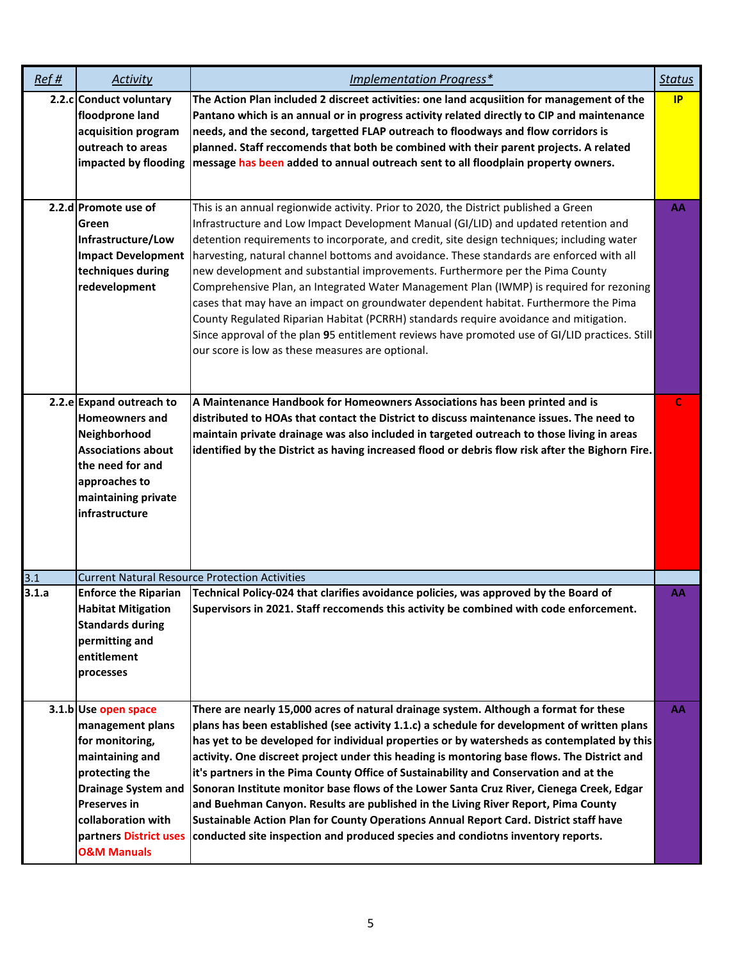| Ref#  | Activity                                                                                                                                                                                                                        | Implementation Progress*                                                                                                                                                                                                                                                                                                                                                                                                                                                                                                                                                                                                                                                                                                                                                                                                                                                                 | <b>Status</b> |
|-------|---------------------------------------------------------------------------------------------------------------------------------------------------------------------------------------------------------------------------------|------------------------------------------------------------------------------------------------------------------------------------------------------------------------------------------------------------------------------------------------------------------------------------------------------------------------------------------------------------------------------------------------------------------------------------------------------------------------------------------------------------------------------------------------------------------------------------------------------------------------------------------------------------------------------------------------------------------------------------------------------------------------------------------------------------------------------------------------------------------------------------------|---------------|
|       | 2.2.c Conduct voluntary<br>floodprone land<br>acquisition program<br>outreach to areas<br>impacted by flooding                                                                                                                  | The Action Plan included 2 discreet activities: one land acqusiition for management of the<br>Pantano which is an annual or in progress activity related directly to CIP and maintenance<br>needs, and the second, targetted FLAP outreach to floodways and flow corridors is<br>planned. Staff reccomends that both be combined with their parent projects. A related<br>message has been added to annual outreach sent to all floodplain property owners.                                                                                                                                                                                                                                                                                                                                                                                                                              | IP            |
|       | 2.2.d Promote use of<br>Green<br>Infrastructure/Low<br><b>Impact Development</b><br>techniques during<br>redevelopment                                                                                                          | This is an annual regionwide activity. Prior to 2020, the District published a Green<br>Infrastructure and Low Impact Development Manual (GI/LID) and updated retention and<br>detention requirements to incorporate, and credit, site design techniques; including water<br>harvesting, natural channel bottoms and avoidance. These standards are enforced with all<br>new development and substantial improvements. Furthermore per the Pima County<br>Comprehensive Plan, an Integrated Water Management Plan (IWMP) is required for rezoning<br>cases that may have an impact on groundwater dependent habitat. Furthermore the Pima<br>County Regulated Riparian Habitat (PCRRH) standards require avoidance and mitigation.<br>Since approval of the plan 95 entitlement reviews have promoted use of GI/LID practices. Still<br>our score is low as these measures are optional. | AA            |
|       | 2.2.e Expand outreach to<br><b>Homeowners and</b><br>Neighborhood<br><b>Associations about</b><br>the need for and<br>approaches to<br>maintaining private<br>infrastructure                                                    | A Maintenance Handbook for Homeowners Associations has been printed and is<br>distributed to HOAs that contact the District to discuss maintenance issues. The need to<br>maintain private drainage was also included in targeted outreach to those living in areas<br>identified by the District as having increased flood or debris flow risk after the Bighorn Fire.                                                                                                                                                                                                                                                                                                                                                                                                                                                                                                                  | C             |
| 3.1   |                                                                                                                                                                                                                                 | <b>Current Natural Resource Protection Activities</b>                                                                                                                                                                                                                                                                                                                                                                                                                                                                                                                                                                                                                                                                                                                                                                                                                                    |               |
| 3.1.a | <b>Enforce the Riparian</b><br><b>Habitat Mitigation</b><br><b>Standards during</b><br>permitting and<br>entitlement<br>processes                                                                                               | Technical Policy-024 that clarifies avoidance policies, was approved by the Board of<br>Supervisors in 2021. Staff reccomends this activity be combined with code enforcement.                                                                                                                                                                                                                                                                                                                                                                                                                                                                                                                                                                                                                                                                                                           | AA            |
|       | 3.1.b Use open space<br>management plans<br>for monitoring,<br>maintaining and<br>protecting the<br><b>Drainage System and</b><br><b>Preserves in</b><br>collaboration with<br>partners District uses<br><b>O&amp;M Manuals</b> | There are nearly 15,000 acres of natural drainage system. Although a format for these<br>plans has been established (see activity 1.1.c) a schedule for development of written plans<br>has yet to be developed for individual properties or by watersheds as contemplated by this<br>activity. One discreet project under this heading is montoring base flows. The District and<br>it's partners in the Pima County Office of Sustainability and Conservation and at the<br>Sonoran Institute monitor base flows of the Lower Santa Cruz River, Cienega Creek, Edgar<br>and Buehman Canyon. Results are published in the Living River Report, Pima County<br>Sustainable Action Plan for County Operations Annual Report Card. District staff have<br>conducted site inspection and produced species and condiotns inventory reports.                                                  | AA            |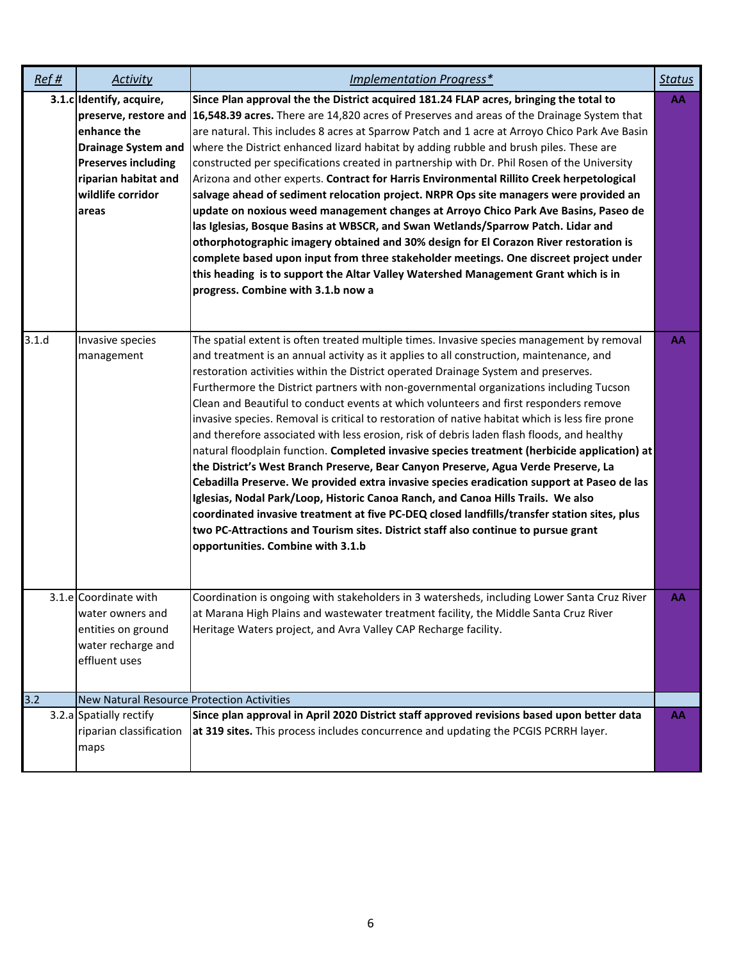| Ref#  | <b>Activity</b>                                                                                                                                           | Implementation Progress*                                                                                                                                                                                                                                                                                                                                                                                                                                                                                                                                                                                                                                                                                                                                                                                                                                                                                                                                                                                                                                                                                                                                                                                                                                          | <b>Status</b> |
|-------|-----------------------------------------------------------------------------------------------------------------------------------------------------------|-------------------------------------------------------------------------------------------------------------------------------------------------------------------------------------------------------------------------------------------------------------------------------------------------------------------------------------------------------------------------------------------------------------------------------------------------------------------------------------------------------------------------------------------------------------------------------------------------------------------------------------------------------------------------------------------------------------------------------------------------------------------------------------------------------------------------------------------------------------------------------------------------------------------------------------------------------------------------------------------------------------------------------------------------------------------------------------------------------------------------------------------------------------------------------------------------------------------------------------------------------------------|---------------|
|       | 3.1.c Identify, acquire,<br>enhance the<br><b>Drainage System and</b><br><b>Preserves including</b><br>riparian habitat and<br>wildlife corridor<br>areas | Since Plan approval the the District acquired 181.24 FLAP acres, bringing the total to<br>preserve, restore and   16,548.39 acres. There are 14,820 acres of Preserves and areas of the Drainage System that<br>are natural. This includes 8 acres at Sparrow Patch and 1 acre at Arroyo Chico Park Ave Basin<br>where the District enhanced lizard habitat by adding rubble and brush piles. These are<br>constructed per specifications created in partnership with Dr. Phil Rosen of the University<br>Arizona and other experts. Contract for Harris Environmental Rillito Creek herpetological<br>salvage ahead of sediment relocation project. NRPR Ops site managers were provided an<br>update on noxious weed management changes at Arroyo Chico Park Ave Basins, Paseo de<br>las Iglesias, Bosque Basins at WBSCR, and Swan Wetlands/Sparrow Patch. Lidar and<br>othorphotographic imagery obtained and 30% design for El Corazon River restoration is<br>complete based upon input from three stakeholder meetings. One discreet project under<br>this heading is to support the Altar Valley Watershed Management Grant which is in<br>progress. Combine with 3.1.b now a                                                                             | AA            |
| 3.1.d | Invasive species<br>management                                                                                                                            | The spatial extent is often treated multiple times. Invasive species management by removal<br>and treatment is an annual activity as it applies to all construction, maintenance, and<br>restoration activities within the District operated Drainage System and preserves.<br>Furthermore the District partners with non-governmental organizations including Tucson<br>Clean and Beautiful to conduct events at which volunteers and first responders remove<br>invasive species. Removal is critical to restoration of native habitat which is less fire prone<br>and therefore associated with less erosion, risk of debris laden flash floods, and healthy<br>natural floodplain function. Completed invasive species treatment (herbicide application) at<br>the District's West Branch Preserve, Bear Canyon Preserve, Agua Verde Preserve, La<br>Cebadilla Preserve. We provided extra invasive species eradication support at Paseo de las<br>Iglesias, Nodal Park/Loop, Historic Canoa Ranch, and Canoa Hills Trails. We also<br>coordinated invasive treatment at five PC-DEQ closed landfills/transfer station sites, plus<br>two PC-Attractions and Tourism sites. District staff also continue to pursue grant<br>opportunities. Combine with 3.1.b | AA            |
|       | 3.1.e Coordinate with<br>water owners and<br>entities on ground<br>water recharge and<br>effluent uses                                                    | Coordination is ongoing with stakeholders in 3 watersheds, including Lower Santa Cruz River<br>at Marana High Plains and wastewater treatment facility, the Middle Santa Cruz River<br>Heritage Waters project, and Avra Valley CAP Recharge facility.                                                                                                                                                                                                                                                                                                                                                                                                                                                                                                                                                                                                                                                                                                                                                                                                                                                                                                                                                                                                            | AA            |
| 3.2   | New Natural Resource Protection Activities                                                                                                                |                                                                                                                                                                                                                                                                                                                                                                                                                                                                                                                                                                                                                                                                                                                                                                                                                                                                                                                                                                                                                                                                                                                                                                                                                                                                   |               |
|       | 3.2.a Spatially rectify<br>riparian classification<br>maps                                                                                                | Since plan approval in April 2020 District staff approved revisions based upon better data<br>at 319 sites. This process includes concurrence and updating the PCGIS PCRRH layer.                                                                                                                                                                                                                                                                                                                                                                                                                                                                                                                                                                                                                                                                                                                                                                                                                                                                                                                                                                                                                                                                                 | AA            |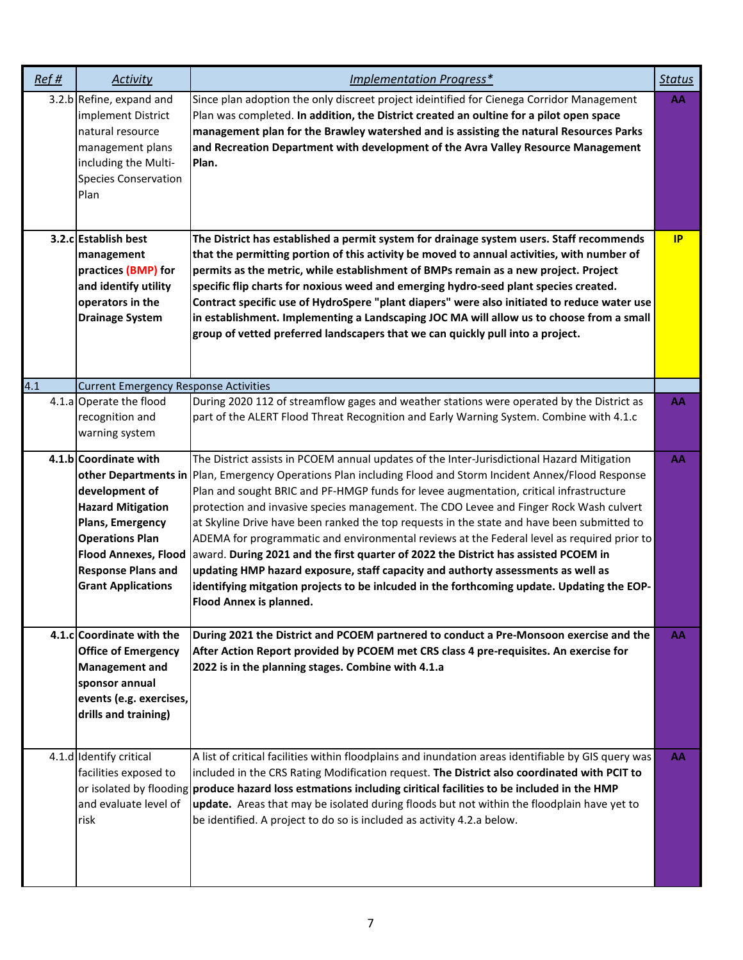| Ref# | <b>Activity</b>                                                                                                                                                                                            | Implementation Progress*                                                                                                                                                                                                                                                                                                                                                                                                                                                                                                                                                                                                                                                                                                                                                                                                                                                                              | <b>Status</b> |
|------|------------------------------------------------------------------------------------------------------------------------------------------------------------------------------------------------------------|-------------------------------------------------------------------------------------------------------------------------------------------------------------------------------------------------------------------------------------------------------------------------------------------------------------------------------------------------------------------------------------------------------------------------------------------------------------------------------------------------------------------------------------------------------------------------------------------------------------------------------------------------------------------------------------------------------------------------------------------------------------------------------------------------------------------------------------------------------------------------------------------------------|---------------|
|      | 3.2.b Refine, expand and<br>implement District<br>natural resource<br>management plans<br>including the Multi-<br><b>Species Conservation</b><br>Plan                                                      | Since plan adoption the only discreet project ideintified for Cienega Corridor Management<br>Plan was completed. In addition, the District created an oultine for a pilot open space<br>management plan for the Brawley watershed and is assisting the natural Resources Parks<br>and Recreation Department with development of the Avra Valley Resource Management<br>Plan.                                                                                                                                                                                                                                                                                                                                                                                                                                                                                                                          | AA            |
|      | 3.2.c Establish best<br>management<br>practices (BMP) for<br>and identify utility<br>operators in the<br><b>Drainage System</b>                                                                            | The District has established a permit system for drainage system users. Staff recommends<br>that the permitting portion of this activity be moved to annual activities, with number of<br>permits as the metric, while establishment of BMPs remain as a new project. Project<br>specific flip charts for noxious weed and emerging hydro-seed plant species created.<br>Contract specific use of HydroSpere "plant diapers" were also initiated to reduce water use<br>in establishment. Implementing a Landscaping JOC MA will allow us to choose from a small<br>group of vetted preferred landscapers that we can quickly pull into a project.                                                                                                                                                                                                                                                    | <b>IP</b>     |
| 4.1  | <b>Current Emergency Response Activities</b>                                                                                                                                                               |                                                                                                                                                                                                                                                                                                                                                                                                                                                                                                                                                                                                                                                                                                                                                                                                                                                                                                       |               |
|      | 4.1.a Operate the flood<br>recognition and<br>warning system                                                                                                                                               | During 2020 112 of streamflow gages and weather stations were operated by the District as<br>part of the ALERT Flood Threat Recognition and Early Warning System. Combine with 4.1.c                                                                                                                                                                                                                                                                                                                                                                                                                                                                                                                                                                                                                                                                                                                  | AA            |
|      | 4.1.b Coordinate with<br>development of<br><b>Hazard Mitigation</b><br>Plans, Emergency<br><b>Operations Plan</b><br><b>Flood Annexes, Flood</b><br><b>Response Plans and</b><br><b>Grant Applications</b> | The District assists in PCOEM annual updates of the Inter-Jurisdictional Hazard Mitigation<br>other Departments in Plan, Emergency Operations Plan including Flood and Storm Incident Annex/Flood Response<br>Plan and sought BRIC and PF-HMGP funds for levee augmentation, critical infrastructure<br>protection and invasive species management. The CDO Levee and Finger Rock Wash culvert<br>at Skyline Drive have been ranked the top requests in the state and have been submitted to<br>ADEMA for programmatic and environmental reviews at the Federal level as required prior to<br>award. During 2021 and the first quarter of 2022 the District has assisted PCOEM in<br>updating HMP hazard exposure, staff capacity and authorty assessments as well as<br>identifying mitgation projects to be inlcuded in the forthcoming update. Updating the EOP-<br><b>Flood Annex is planned.</b> | AA            |
|      | 4.1.c Coordinate with the<br><b>Office of Emergency</b><br><b>Management and</b><br>sponsor annual<br>events (e.g. exercises,<br>drills and training)                                                      | During 2021 the District and PCOEM partnered to conduct a Pre-Monsoon exercise and the<br>After Action Report provided by PCOEM met CRS class 4 pre-requisites. An exercise for<br>2022 is in the planning stages. Combine with 4.1.a                                                                                                                                                                                                                                                                                                                                                                                                                                                                                                                                                                                                                                                                 | AA            |
|      | 4.1.d Identify critical<br>facilities exposed to<br>and evaluate level of<br>risk                                                                                                                          | A list of critical facilities within floodplains and inundation areas identifiable by GIS query was<br>included in the CRS Rating Modification request. The District also coordinated with PCIT to<br>or isolated by flooding produce hazard loss estmations including ciritical facilities to be included in the HMP<br>update. Areas that may be isolated during floods but not within the floodplain have yet to<br>be identified. A project to do so is included as activity 4.2.a below.                                                                                                                                                                                                                                                                                                                                                                                                         | AA            |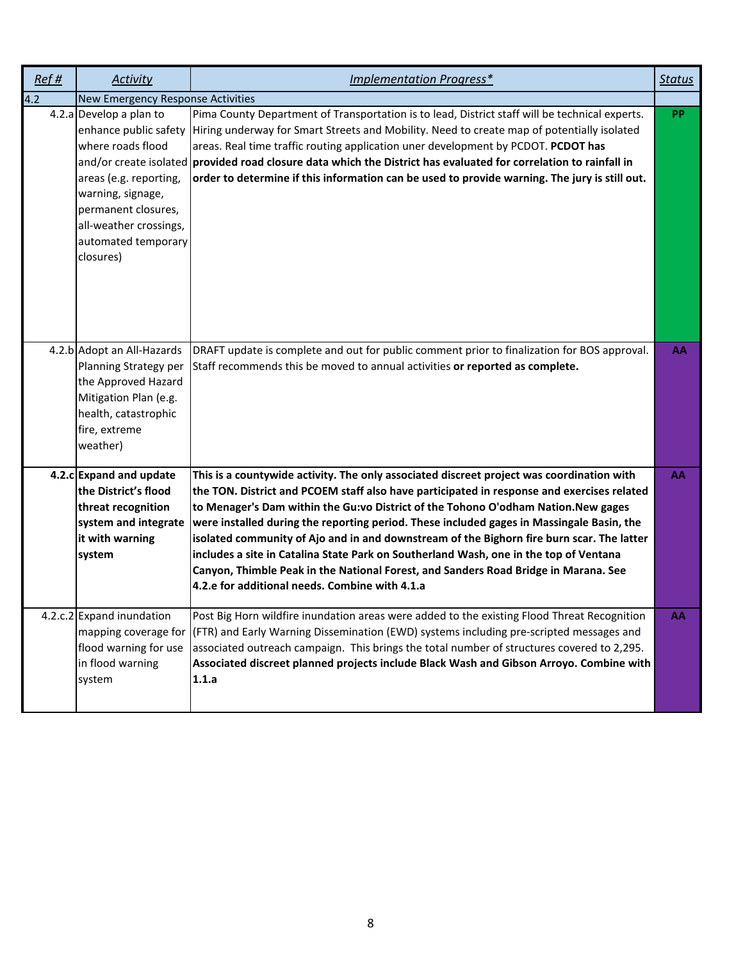| Ref# | <b>Activity</b>                                                                                                                                                                                           | Implementation Progress*                                                                                                                                                                                                                                                                                                                                                                                                                                                                                                                                                                                                                                                                                 | <b>Status</b> |
|------|-----------------------------------------------------------------------------------------------------------------------------------------------------------------------------------------------------------|----------------------------------------------------------------------------------------------------------------------------------------------------------------------------------------------------------------------------------------------------------------------------------------------------------------------------------------------------------------------------------------------------------------------------------------------------------------------------------------------------------------------------------------------------------------------------------------------------------------------------------------------------------------------------------------------------------|---------------|
| 4.2  | <b>New Emergency Response Activities</b>                                                                                                                                                                  |                                                                                                                                                                                                                                                                                                                                                                                                                                                                                                                                                                                                                                                                                                          |               |
|      | 4.2.a Develop a plan to<br>enhance public safety<br>where roads flood<br>areas (e.g. reporting,<br>warning, signage,<br>permanent closures,<br>all-weather crossings,<br>automated temporary<br>closures) | Pima County Department of Transportation is to lead, District staff will be technical experts.<br>Hiring underway for Smart Streets and Mobility. Need to create map of potentially isolated<br>areas. Real time traffic routing application uner development by PCDOT. PCDOT has<br>and/or create isolated provided road closure data which the District has evaluated for correlation to rainfall in<br>order to determine if this information can be used to provide warning. The jury is still out.                                                                                                                                                                                                  | PP            |
|      | 4.2.b Adopt an All-Hazards<br>Planning Strategy per<br>the Approved Hazard<br>Mitigation Plan (e.g.<br>health, catastrophic<br>fire, extreme<br>weather)                                                  | DRAFT update is complete and out for public comment prior to finalization for BOS approval.<br>Staff recommends this be moved to annual activities or reported as complete.                                                                                                                                                                                                                                                                                                                                                                                                                                                                                                                              | AA            |
|      | 4.2.c Expand and update<br>the District's flood<br>threat recognition<br>system and integrate<br>it with warning<br>system                                                                                | This is a countywide activity. The only associated discreet project was coordination with<br>the TON. District and PCOEM staff also have participated in response and exercises related<br>to Menager's Dam within the Gu:vo District of the Tohono O'odham Nation.New gages<br>were installed during the reporting period. These included gages in Massingale Basin, the<br>isolated community of Ajo and in and downstream of the Bighorn fire burn scar. The latter<br>includes a site in Catalina State Park on Southerland Wash, one in the top of Ventana<br>Canyon, Thimble Peak in the National Forest, and Sanders Road Bridge in Marana. See<br>4.2.e for additional needs. Combine with 4.1.a | AA            |
|      | 4.2.c.2 Expand inundation<br>mapping coverage for<br>flood warning for use<br>in flood warning<br>system                                                                                                  | Post Big Horn wildfire inundation areas were added to the existing Flood Threat Recognition<br>(FTR) and Early Warning Dissemination (EWD) systems including pre-scripted messages and<br>associated outreach campaign. This brings the total number of structures covered to 2,295.<br>Associated discreet planned projects include Black Wash and Gibson Arroyo. Combine with<br>1.1.a                                                                                                                                                                                                                                                                                                                 | AA            |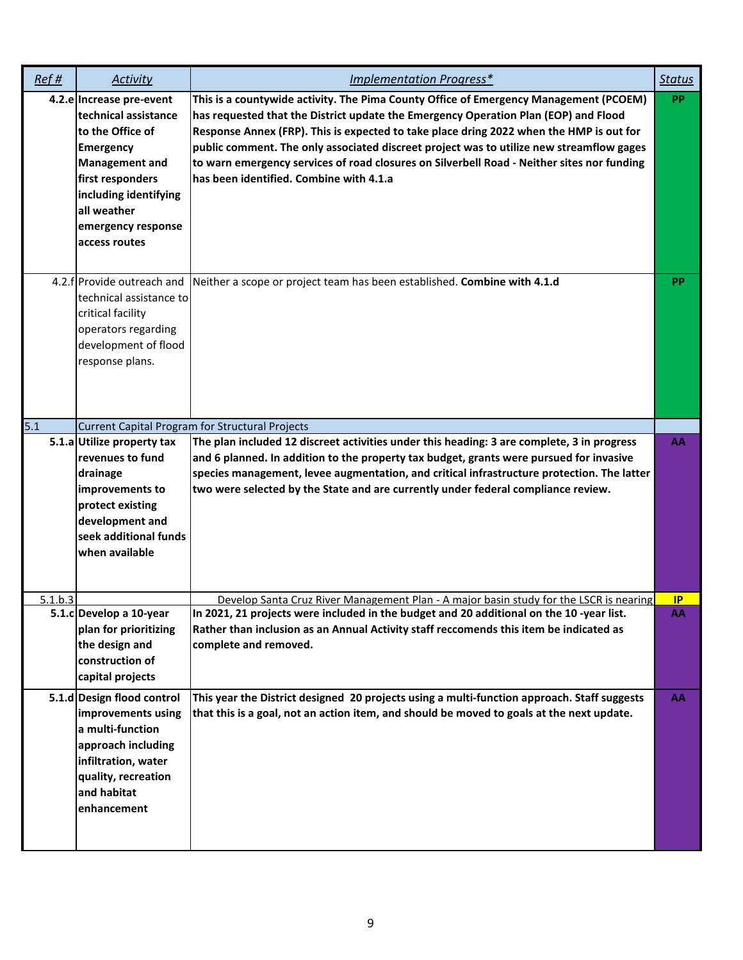| Ref#             | Activity                                                                                                                                                                                                             | Implementation Progress*                                                                                                                                                                                                                                                                                                                                                                                                                                                                                     | <b>Status</b> |
|------------------|----------------------------------------------------------------------------------------------------------------------------------------------------------------------------------------------------------------------|--------------------------------------------------------------------------------------------------------------------------------------------------------------------------------------------------------------------------------------------------------------------------------------------------------------------------------------------------------------------------------------------------------------------------------------------------------------------------------------------------------------|---------------|
|                  | 4.2.e Increase pre-event<br>technical assistance<br>to the Office of<br><b>Emergency</b><br><b>Management and</b><br>first responders<br>including identifying<br>all weather<br>emergency response<br>access routes | This is a countywide activity. The Pima County Office of Emergency Management (PCOEM)<br>has requested that the District update the Emergency Operation Plan (EOP) and Flood<br>Response Annex (FRP). This is expected to take place dring 2022 when the HMP is out for<br>public comment. The only associated discreet project was to utilize new streamflow gages<br>to warn emergency services of road closures on Silverbell Road - Neither sites nor funding<br>has been identified. Combine with 4.1.a | <b>PP</b>     |
|                  | 4.2.f Provide outreach and<br>technical assistance to<br>critical facility<br>operators regarding<br>development of flood<br>response plans.                                                                         | Neither a scope or project team has been established. Combine with 4.1.d                                                                                                                                                                                                                                                                                                                                                                                                                                     | PP            |
| $\overline{5.1}$ |                                                                                                                                                                                                                      | <b>Current Capital Program for Structural Projects</b>                                                                                                                                                                                                                                                                                                                                                                                                                                                       |               |
|                  | 5.1.a Utilize property tax<br>revenues to fund<br>drainage<br>improvements to<br>protect existing<br>development and<br>seek additional funds<br>when available                                                      | The plan included 12 discreet activities under this heading: 3 are complete, 3 in progress<br>and 6 planned. In addition to the property tax budget, grants were pursued for invasive<br>species management, levee augmentation, and critical infrastructure protection. The latter<br>two were selected by the State and are currently under federal compliance review.                                                                                                                                     | AA            |
| 5.1.b.3          |                                                                                                                                                                                                                      | Develop Santa Cruz River Management Plan - A maior basin study for the LSCR is nearing                                                                                                                                                                                                                                                                                                                                                                                                                       | <b>IP</b>     |
|                  | 5.1.c Develop a 10-year<br>plan for prioritizing<br>the design and<br>construction of<br>capital projects                                                                                                            | In 2021, 21 projects were included in the budget and 20 additional on the 10 -year list.<br>Rather than inclusion as an Annual Activity staff reccomends this item be indicated as<br>complete and removed.                                                                                                                                                                                                                                                                                                  | AA            |
|                  | 5.1.d Design flood control<br>improvements using<br>a multi-function<br>approach including<br>infiltration, water<br>quality, recreation<br>and habitat<br>enhancement                                               | This year the District designed 20 projects using a multi-function approach. Staff suggests<br>that this is a goal, not an action item, and should be moved to goals at the next update.                                                                                                                                                                                                                                                                                                                     | АΑ            |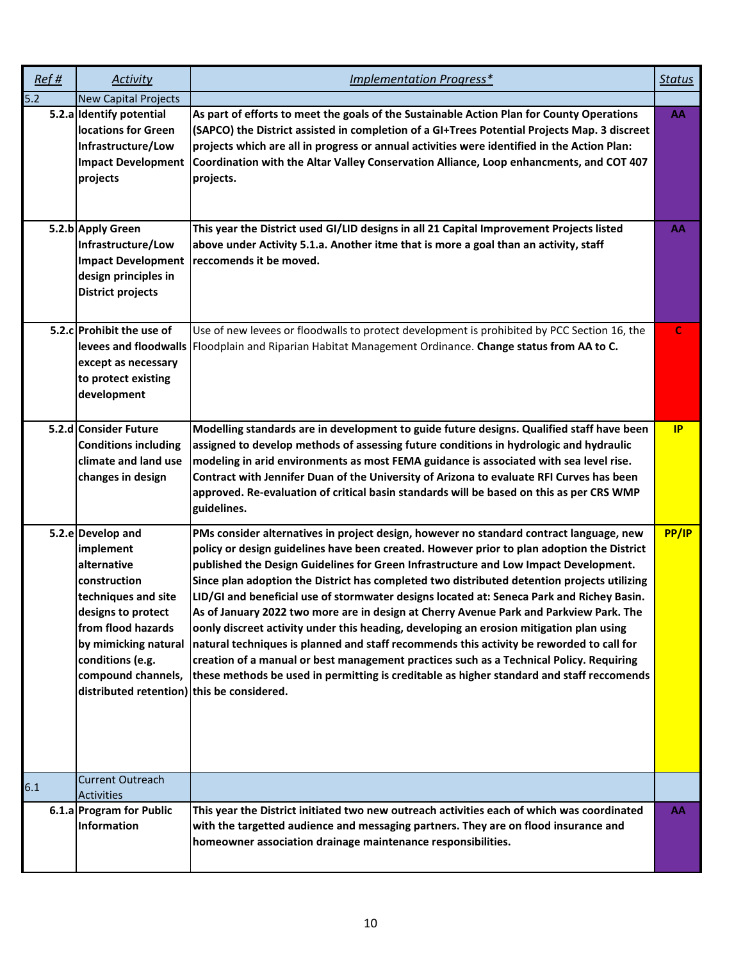| Ref# | Activity                                                                                                                                                                                                                                         | Implementation Progress*                                                                                                                                                                                                                                                                                                                                                                                                                                                                                                                                                                                                                                                                                                                                                                                                                                                                                                                           | <b>Status</b> |
|------|--------------------------------------------------------------------------------------------------------------------------------------------------------------------------------------------------------------------------------------------------|----------------------------------------------------------------------------------------------------------------------------------------------------------------------------------------------------------------------------------------------------------------------------------------------------------------------------------------------------------------------------------------------------------------------------------------------------------------------------------------------------------------------------------------------------------------------------------------------------------------------------------------------------------------------------------------------------------------------------------------------------------------------------------------------------------------------------------------------------------------------------------------------------------------------------------------------------|---------------|
| 5.2  | <b>New Capital Projects</b>                                                                                                                                                                                                                      |                                                                                                                                                                                                                                                                                                                                                                                                                                                                                                                                                                                                                                                                                                                                                                                                                                                                                                                                                    |               |
|      | 5.2.a Identify potential<br>locations for Green<br>Infrastructure/Low<br><b>Impact Development</b><br>projects                                                                                                                                   | As part of efforts to meet the goals of the Sustainable Action Plan for County Operations<br>(SAPCO) the District assisted in completion of a GI+Trees Potential Projects Map. 3 discreet<br>projects which are all in progress or annual activities were identified in the Action Plan:<br>Coordination with the Altar Valley Conservation Alliance, Loop enhancments, and COT 407<br>projects.                                                                                                                                                                                                                                                                                                                                                                                                                                                                                                                                                   | AA            |
|      | 5.2.b Apply Green<br>Infrastructure/Low<br><b>Impact Development</b><br>design principles in<br><b>District projects</b>                                                                                                                         | This year the District used GI/LID designs in all 21 Capital Improvement Projects listed<br>above under Activity 5.1.a. Another itme that is more a goal than an activity, staff<br>reccomends it be moved.                                                                                                                                                                                                                                                                                                                                                                                                                                                                                                                                                                                                                                                                                                                                        | AA            |
|      | 5.2.c Prohibit the use of<br>levees and floodwalls<br>except as necessary<br>to protect existing<br>development                                                                                                                                  | Use of new levees or floodwalls to protect development is prohibited by PCC Section 16, the<br>Floodplain and Riparian Habitat Management Ordinance. Change status from AA to C.                                                                                                                                                                                                                                                                                                                                                                                                                                                                                                                                                                                                                                                                                                                                                                   | C             |
|      | 5.2.d Consider Future<br><b>Conditions including</b><br>climate and land use<br>changes in design                                                                                                                                                | Modelling standards are in development to guide future designs. Qualified staff have been<br>assigned to develop methods of assessing future conditions in hydrologic and hydraulic<br>modeling in arid environments as most FEMA guidance is associated with sea level rise.<br>Contract with Jennifer Duan of the University of Arizona to evaluate RFI Curves has been<br>approved. Re-evaluation of critical basin standards will be based on this as per CRS WMP<br>guidelines.                                                                                                                                                                                                                                                                                                                                                                                                                                                               | IP            |
|      | 5.2.e Develop and<br>implement<br>alternative<br>construction<br>techniques and site<br>designs to protect<br>from flood hazards<br>by mimicking natural<br>conditions (e.g.<br>compound channels,<br>distributed retention) this be considered. | PMs consider alternatives in project design, however no standard contract language, new<br>policy or design guidelines have been created. However prior to plan adoption the District<br>published the Design Guidelines for Green Infrastructure and Low Impact Development.<br>Since plan adoption the District has completed two distributed detention projects utilizing<br>LID/GI and beneficial use of stormwater designs located at: Seneca Park and Richey Basin.<br>As of January 2022 two more are in design at Cherry Avenue Park and Parkview Park. The<br>oonly discreet activity under this heading, developing an erosion mitigation plan using<br>natural techniques is planned and staff recommends this activity be reworded to call for<br>creation of a manual or best management practices such as a Technical Policy. Requiring<br>these methods be used in permitting is creditable as higher standard and staff reccomends | PP/IP         |
| 6.1  | <b>Current Outreach</b><br><b>Activities</b>                                                                                                                                                                                                     |                                                                                                                                                                                                                                                                                                                                                                                                                                                                                                                                                                                                                                                                                                                                                                                                                                                                                                                                                    |               |
|      | 6.1.a Program for Public<br>Information                                                                                                                                                                                                          | This year the District initiated two new outreach activities each of which was coordinated<br>with the targetted audience and messaging partners. They are on flood insurance and<br>homeowner association drainage maintenance responsibilities.                                                                                                                                                                                                                                                                                                                                                                                                                                                                                                                                                                                                                                                                                                  | AA            |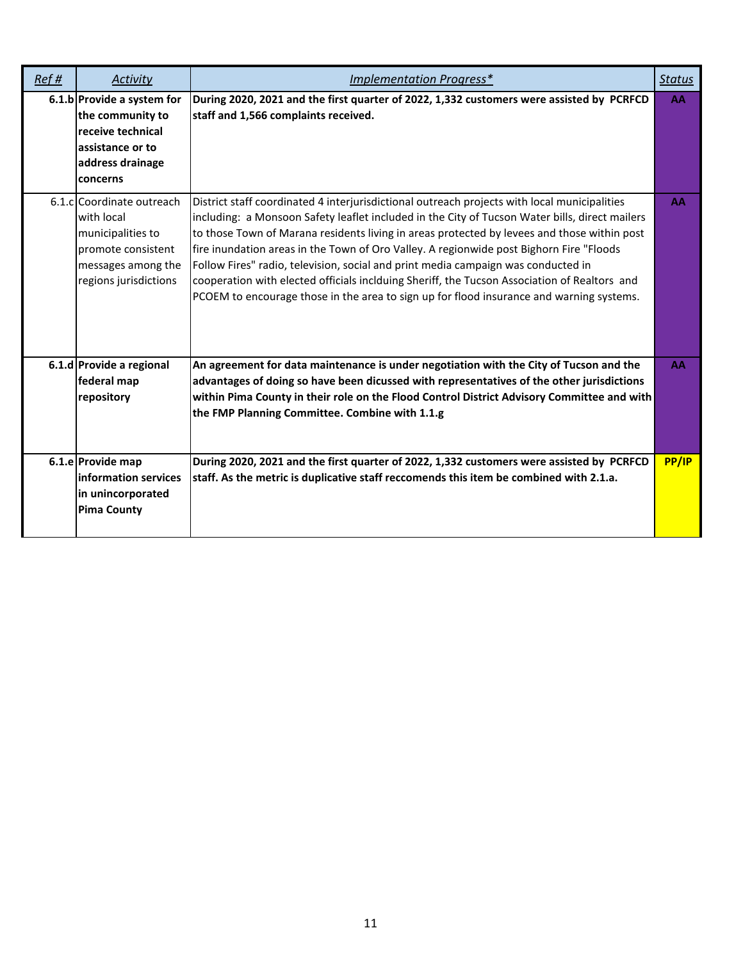| Ref# | Activity                                                                                                                          | Implementation Progress*                                                                                                                                                                                                                                                                                                                                                                                                                                                                                                                                                                                                                                                  | <b>Status</b> |
|------|-----------------------------------------------------------------------------------------------------------------------------------|---------------------------------------------------------------------------------------------------------------------------------------------------------------------------------------------------------------------------------------------------------------------------------------------------------------------------------------------------------------------------------------------------------------------------------------------------------------------------------------------------------------------------------------------------------------------------------------------------------------------------------------------------------------------------|---------------|
|      | 6.1.b Provide a system for<br>the community to<br>receive technical<br>assistance or to<br>address drainage<br>concerns           | During 2020, 2021 and the first quarter of 2022, 1,332 customers were assisted by PCRFCD<br>staff and 1,566 complaints received.                                                                                                                                                                                                                                                                                                                                                                                                                                                                                                                                          | AA            |
|      | 6.1.clCoordinate outreach<br>with local<br>municipalities to<br>promote consistent<br>messages among the<br>regions jurisdictions | District staff coordinated 4 interjurisdictional outreach projects with local municipalities<br>including: a Monsoon Safety leaflet included in the City of Tucson Water bills, direct mailers<br>to those Town of Marana residents living in areas protected by levees and those within post<br>fire inundation areas in the Town of Oro Valley. A regionwide post Bighorn Fire "Floods<br>Follow Fires" radio, television, social and print media campaign was conducted in<br>cooperation with elected officials inclduing Sheriff, the Tucson Association of Realtors and<br>PCOEM to encourage those in the area to sign up for flood insurance and warning systems. | AA            |
|      | 6.1.d Provide a regional<br>federal map<br>repository                                                                             | An agreement for data maintenance is under negotiation with the City of Tucson and the<br>advantages of doing so have been dicussed with representatives of the other jurisdictions<br>within Pima County in their role on the Flood Control District Advisory Committee and with<br>the FMP Planning Committee. Combine with 1.1.g                                                                                                                                                                                                                                                                                                                                       | AA            |
|      | 6.1.e Provide map<br>information services<br>in unincorporated<br><b>Pima County</b>                                              | During 2020, 2021 and the first quarter of 2022, 1,332 customers were assisted by PCRFCD<br>staff. As the metric is duplicative staff reccomends this item be combined with 2.1.a.                                                                                                                                                                                                                                                                                                                                                                                                                                                                                        | PP/IP         |